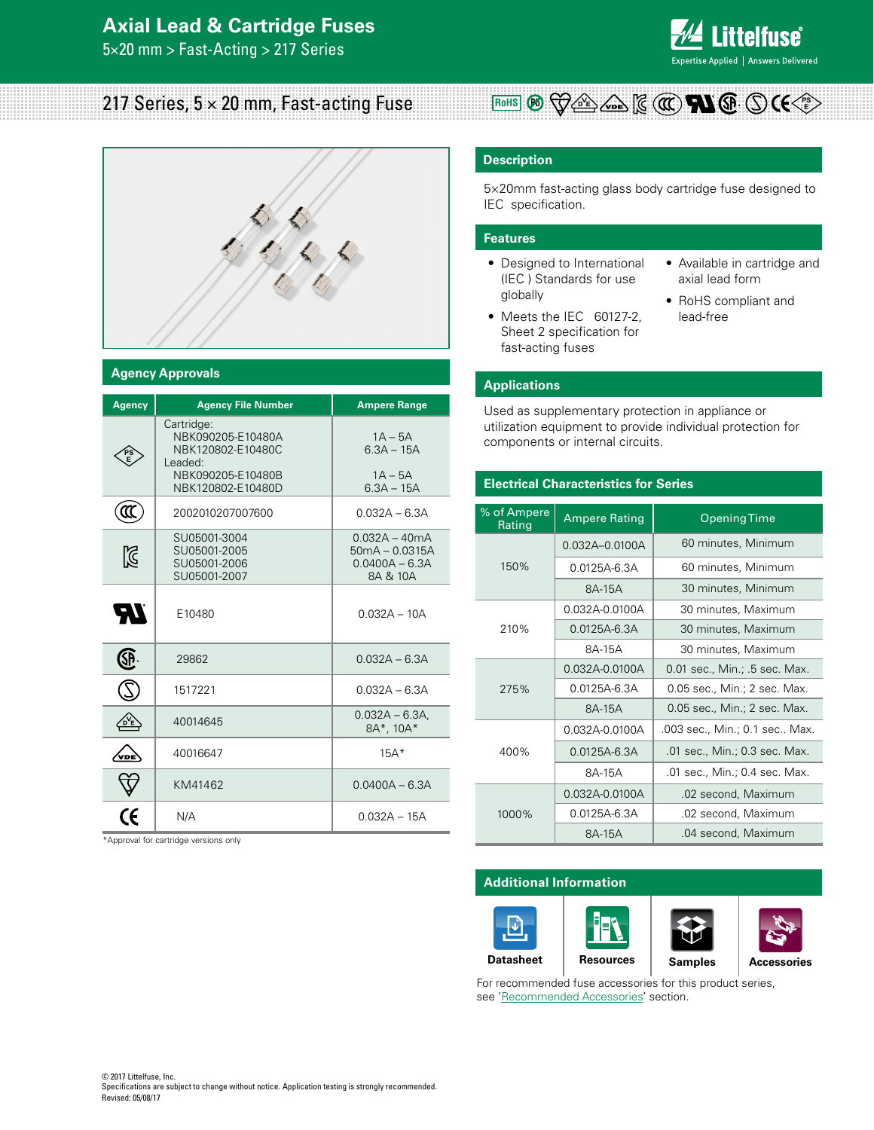## **Axial Lead & Cartridge Fuses**

5×20 mm > Fast-Acting > 217 Series



# 217 Series,  $5 \times 20$  mm, Fast-acting Fuse



#### **Agency Approvals**

| <b>Agency</b> | <b>Agency File Number</b>                                                                                 | <b>Ampere Range</b>                                                 |
|---------------|-----------------------------------------------------------------------------------------------------------|---------------------------------------------------------------------|
|               | Cartridge:<br>NBK090205-E10480A<br>NBK120802-E10480C<br>Leaded:<br>NBK090205-E10480B<br>NBK120802-E10480D | $1A - 5A$<br>$6.3A - 15A$<br>$1A - 5A$<br>$6.3A - 15A$              |
| ແ             | 2002010207007600                                                                                          | $0.032A - 6.3A$                                                     |
| ⊠             | SU05001-3004<br>SU05001-2005<br>SU05001-2006<br>SU05001-2007                                              | $0.032A - 40mA$<br>$50mA - 0.0315A$<br>$0.0400A - 6.3A$<br>8A & 10A |
| 77            | E10480                                                                                                    | $0.032A - 10A$                                                      |
| E             | 29862                                                                                                     | $0.032A - 6.3A$                                                     |
|               | 1517221                                                                                                   | $0.032A - 6.3A$                                                     |
|               | 40014645                                                                                                  | $0.032A - 6.3A$<br>8A*, 10A*                                        |
| vnĖ           | 40016647                                                                                                  | $15A*$                                                              |
|               | KM41462                                                                                                   | $0.0400A - 6.3A$                                                    |
|               | N/A                                                                                                       | $0.032A - 15A$                                                      |

Approval for cartridge versions only

#### **Description**

5×20mm fast-acting glass body cartridge fuse designed to IEC specification.

**RoHS**  $\mathcal{P}_0$   $\bigtriangledown$   $\bigtriangleup$   $\epsilon$   $\bigtriangledown$   $\bigtriangleup$   $\epsilon$   $\bigtriangledown$   $\epsilon$   $\bigtriangleup$   $\epsilon$   $\bigtriangleup$   $\epsilon$   $\bigtriangleup$   $\epsilon$   $\bigtriangleup$   $\epsilon$   $\bigtriangleup$   $\epsilon$   $\bigtriangleup$   $\epsilon$   $\bigtriangleup$   $\epsilon$   $\bigtriangleup$   $\epsilon$   $\bigtriangleup$   $\epsilon$   $\bigtriangleup$   $\epsilon$   $\bigtriangleup$   $\epsilon$   $\bigtriangleup$   $\epsilon$   $\bigtriangleup$ 

#### **Features**

- Designed to International (IEC ) Standards for use globally
- Meets the IEC 60127-2, Sheet 2 specification for fast-acting fuses
- Available in cartridge and axial lead form
- RoHS compliant and lead-free

#### **Applications**

Used as supplementary protection in appliance or utilization equipment to provide individual protection for components or internal circuits.

#### **Electrical Characteristics for Series**

| % of Ampere<br>Rating | <b>Ampere Rating</b> | <b>Opening Time</b>           |  |  |  |  |
|-----------------------|----------------------|-------------------------------|--|--|--|--|
|                       | $0.032A - 0.0100A$   | 60 minutes, Minimum           |  |  |  |  |
| 150%                  | 0.0125A-6.3A         | 60 minutes, Minimum           |  |  |  |  |
|                       | 8A-15A               | 30 minutes, Minimum           |  |  |  |  |
|                       | 0.032A-0.0100A       | 30 minutes, Maximum           |  |  |  |  |
| 210%                  | $0.0125A - 6.3A$     | 30 minutes, Maximum           |  |  |  |  |
|                       | 8A-15A               | 30 minutes, Maximum           |  |  |  |  |
|                       | 0.032A-0.0100A       | 0.01 sec., Min.; .5 sec. Max. |  |  |  |  |
| 275%                  | 0.0125A-6.3A         | 0.05 sec., Min.; 2 sec. Max.  |  |  |  |  |
|                       | 8A-15A               | 0.05 sec., Min.; 2 sec. Max.  |  |  |  |  |
|                       | 0.032A-0.0100A       | .003 sec., Min.; 0.1 sec Max. |  |  |  |  |
| 400%                  | $0.0125A - 6.3A$     | .01 sec., Min.; 0.3 sec. Max. |  |  |  |  |
|                       | 8A-15A               | .01 sec., Min.; 0.4 sec. Max. |  |  |  |  |
|                       | 0.032A-0.0100A       | .02 second, Maximum           |  |  |  |  |
| 1000%                 | 0.0125A-6.3A         | .02 second, Maximum           |  |  |  |  |
|                       | 8A-15A               | .04 second, Maximum           |  |  |  |  |

#### **Additional Information**



For recommended fuse accessories for this product series, see 'Recommended Accessories' section.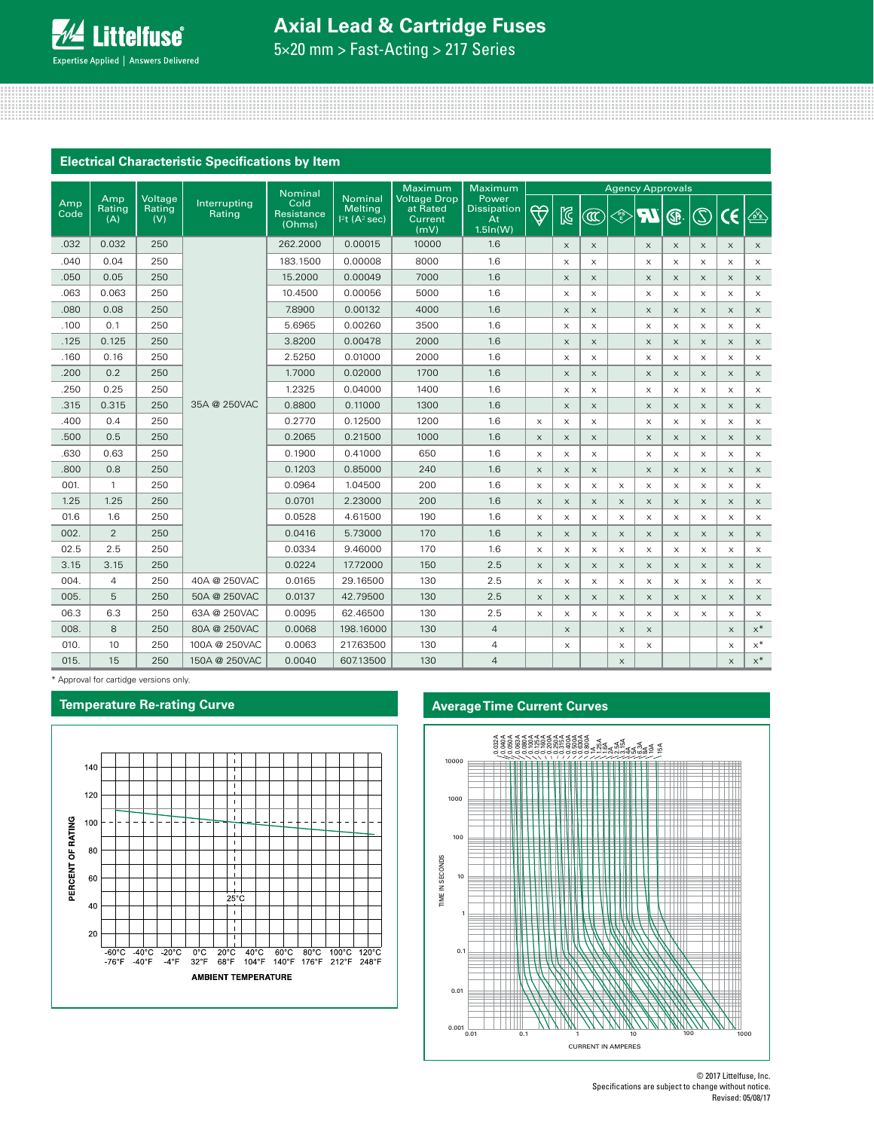# **Axial Lead & Cartridge Fuses**

5×20 mm > Fast-Acting > 217 Series

### **Electrical Characteristic Specifications by Item**

|             |                      |                          |                        | <b>Nominal</b>               |                                                      | Maximum                                            | Maximum                                       | <b>Agency Approvals</b>   |                       |                           |                                                                                             |                           |                           |                           |                       |                           |
|-------------|----------------------|--------------------------|------------------------|------------------------------|------------------------------------------------------|----------------------------------------------------|-----------------------------------------------|---------------------------|-----------------------|---------------------------|---------------------------------------------------------------------------------------------|---------------------------|---------------------------|---------------------------|-----------------------|---------------------------|
| Amp<br>Code | Amp<br>Rating<br>(A) | Voltage<br>Rating<br>(V) | Interrupting<br>Rating | Cold<br>Resistance<br>(Ohms) | <b>Nominal</b><br>Melting<br>$ 2t(A^2 \text{ sec}) $ | <b>Voltage Drop</b><br>at Rated<br>Current<br>(mV) | Power<br><b>Dissipation</b><br>At<br>1.5ln(W) | $\bigtriangledown$        | $\boxtimes$           | $\circledR$               | $\left\langle \begin{matrix} \mathsf{P} \mathsf{S} \ \mathsf{E} \end{matrix} \right\rangle$ | <b>IR</b>                 | ®                         | $\circledS$               | $\epsilon$            | $\mathbb{E}$              |
| .032        | 0.032                | 250                      |                        | 262.2000                     | 0.00015                                              | 10000                                              | 1.6                                           |                           | $\times$              | $\boldsymbol{\mathsf{X}}$ |                                                                                             | $\boldsymbol{\mathsf{X}}$ | $\boldsymbol{\times}$     | $\boldsymbol{\mathsf{X}}$ | $\times$              | $\times$                  |
| .040        | 0.04                 | 250                      |                        | 183.1500                     | 0.00008                                              | 8000                                               | 1.6                                           |                           | $\times$              | $\boldsymbol{\mathsf{X}}$ |                                                                                             | $\times$                  | $\times$                  | X                         | $\times$              | $\times$                  |
| .050        | 0.05                 | 250                      |                        | 15,2000                      | 0.00049                                              | 7000                                               | 1.6                                           |                           | $\times$              | $\mathsf X$               |                                                                                             | $\times$                  | $\times$                  | $\boldsymbol{\mathsf{X}}$ | $\times$              | $\times$                  |
| .063        | 0.063                | 250                      |                        | 10.4500                      | 0.00056                                              | 5000                                               | 1.6                                           |                           | $\times$              | $\times$                  |                                                                                             | $\times$                  | X                         | $\times$                  | $\times$              | $\times$                  |
| .080        | 0.08                 | 250                      |                        | 7.8900                       | 0.00132                                              | 4000                                               | 1.6                                           |                           | $\boldsymbol{\times}$ | X                         |                                                                                             | $\times$                  | $\boldsymbol{\times}$     | X                         | $\boldsymbol{\times}$ | $\times$                  |
| .100        | 0.1                  | 250                      |                        | 5.6965                       | 0.00260                                              | 3500                                               | 1.6                                           |                           | $\times$              | $\times$                  |                                                                                             | $\times$                  | X                         | $\times$                  | $\times$              | $\times$                  |
| .125        | 0.125                | 250                      |                        | 3.8200                       | 0.00478                                              | 2000                                               | 1.6                                           |                           | $\boldsymbol{\times}$ | $\mathsf X$               |                                                                                             | $\times$                  | $\boldsymbol{\times}$     | $\boldsymbol{\mathsf{X}}$ | $\boldsymbol{\times}$ | $\times$                  |
| .160        | 0.16                 | 250                      |                        | 2.5250                       | 0.01000                                              | 2000                                               | 1.6                                           |                           | $\times$              | X                         |                                                                                             | $\times$                  | $\boldsymbol{\mathsf{X}}$ | X                         | $\times$              | $\boldsymbol{\mathsf{X}}$ |
| .200        | 0.2                  | 250                      |                        | 1.7000                       | 0.02000                                              | 1700                                               | 1.6                                           |                           | $\times$              | $\times$                  |                                                                                             | $\times$                  | $\times$                  | $\times$                  | $\times$              | $\times$                  |
| .250        | 0.25                 | 250                      |                        | 1.2325                       | 0.04000                                              | 1400                                               | 1.6                                           |                           | $\times$              | X                         |                                                                                             | X                         | X                         | X                         | $\times$              | $\times$                  |
| .315        | 0.315                | 250                      | 35A @ 250VAC           | 0.8800                       | 0.11000                                              | 1300                                               | 1.6                                           |                           | $\times$              | $\boldsymbol{\times}$     |                                                                                             | $\mathsf X$               | $\boldsymbol{\mathsf{X}}$ | $\boldsymbol{\mathsf{X}}$ | $\times$              | $\times$                  |
| .400        | 0.4                  | 250                      |                        | 0.2770                       | 0.12500                                              | 1200                                               | 1.6                                           | $\times$                  | $\times$              | $\times$                  |                                                                                             | $\times$                  | X                         | $\times$                  | $\times$              | $\times$                  |
| .500        | 0.5                  | 250                      |                        | 0.2065                       | 0.21500                                              | 1000                                               | 1.6                                           | $\boldsymbol{\mathsf{X}}$ | $\boldsymbol{\times}$ | $\boldsymbol{\times}$     |                                                                                             | $\mathsf X$               | $\boldsymbol{\times}$     | $\mathsf X$               | $\times$              | $\times$                  |
| .630        | 0.63                 | 250                      |                        | 0.1900                       | 0.41000                                              | 650                                                | 1.6                                           | $\times$                  | $\times$              | $\times$                  |                                                                                             | $\times$                  | X                         | $\times$                  | $\times$              | $\times$                  |
| .800        | 0.8                  | 250                      |                        | 0.1203                       | 0.85000                                              | 240                                                | 1.6                                           | $\boldsymbol{\mathsf{X}}$ | $\boldsymbol{\times}$ | $\boldsymbol{\mathsf{X}}$ |                                                                                             | $\boldsymbol{\times}$     | $\boldsymbol{\times}$     | X                         | $\times$              | $\times$                  |
| 001.        | $\mathbf{1}$         | 250                      |                        | 0.0964                       | 1.04500                                              | 200                                                | 1.6                                           | X                         | $\times$              | $\boldsymbol{\mathsf{X}}$ | X                                                                                           | $\times$                  | X                         | X                         | $\times$              | $\times$                  |
| 1.25        | 1.25                 | 250                      |                        | 0.0701                       | 2.23000                                              | 200                                                | 1.6                                           | $\times$                  | $\times$              | $\times$                  | $\times$                                                                                    | $\times$                  | $\times$                  | $\times$                  | $\times$              | $\times$                  |
| 01.6        | 1.6                  | 250                      |                        | 0.0528                       | 4.61500                                              | 190                                                | 1.6                                           | X                         | $\times$              | X                         | $\times$                                                                                    | $\times$                  | X                         | X                         | $\times$              | X                         |
| 002.        | 2                    | 250                      |                        | 0.0416                       | 5.73000                                              | 170                                                | 1.6                                           | $\boldsymbol{\mathsf{X}}$ | $\times$              | $\boldsymbol{\mathsf{X}}$ | $\boldsymbol{\times}$                                                                       | $\boldsymbol{\times}$     | $\boldsymbol{\mathsf{X}}$ | $\boldsymbol{\times}$     | $\times$              | $\times$                  |
| 02.5        | 2.5                  | 250                      |                        | 0.0334                       | 9.46000                                              | 170                                                | 1.6                                           | X                         | $\times$              | X                         | $\times$                                                                                    | X                         | X                         | X                         | $\times$              | $\times$                  |
| 3.15        | 3.15                 | 250                      |                        | 0.0224                       | 17.72000                                             | 150                                                | 2.5                                           | $\boldsymbol{\mathsf{X}}$ | $\boldsymbol{\times}$ | X                         | $\boldsymbol{\times}$                                                                       | $\boldsymbol{\times}$     | $\boldsymbol{\mathsf{X}}$ | $\boldsymbol{\mathsf{X}}$ | $\times$              | $\boldsymbol{\mathsf{X}}$ |
| 004.        | $\overline{4}$       | 250                      | 40A @ 250VAC           | 0.0165                       | 29.16500                                             | 130                                                | 2.5                                           | $\times$                  | $\times$              | X                         | $\times$                                                                                    | X                         | X                         | $\times$                  | $\times$              | $\times$                  |
| 005.        | 5                    | 250                      | 50A @ 250VAC           | 0.0137                       | 42.79500                                             | 130                                                | 2.5                                           | $\boldsymbol{\mathsf{X}}$ | $\times$              | X                         | $\times$                                                                                    | $\boldsymbol{\times}$     | $\boldsymbol{\mathsf{X}}$ | $\boldsymbol{\mathsf{X}}$ | $\times$              | $\times$                  |
| 06.3        | 6.3                  | 250                      | 63A @ 250VAC           | 0.0095                       | 62.46500                                             | 130                                                | 2.5                                           | $\boldsymbol{\times}$     | $\mathsf X$           | $\boldsymbol{\mathsf{X}}$ | $\mathsf X$                                                                                 | X                         | $\boldsymbol{\mathsf{X}}$ | X                         | $\times$              | $\mathsf X$               |
| 008.        | 8                    | 250                      | 80A @ 250VAC           | 0.0068                       | 198.16000                                            | 130                                                | $\overline{4}$                                |                           | $\times$              |                           | $\boldsymbol{\times}$                                                                       | $\times$                  |                           |                           | $\boldsymbol{\times}$ | $\times^*$                |
| 010.        | 10                   | 250                      | 100A @ 250VAC          | 0.0063                       | 217.63500                                            | 130                                                | 4                                             |                           | X                     |                           | $\times$                                                                                    | X                         |                           |                           | X                     | $x^*$                     |
| 015.        | 15                   | 250                      | 150A @ 250VAC          | 0.0040                       | 607.13500                                            | 130                                                | $\overline{4}$                                |                           |                       |                           | $\times$                                                                                    |                           |                           |                           | $\times$              | $\times^*$                |

\* Approval for cartidge versions only.

#### **Temperature Re-rating Curve**



### **Average Time Current Curves**



<sup>© 2017</sup> Littelfuse, Inc. Specifications are subject to change without notice. Revised: 05/08/17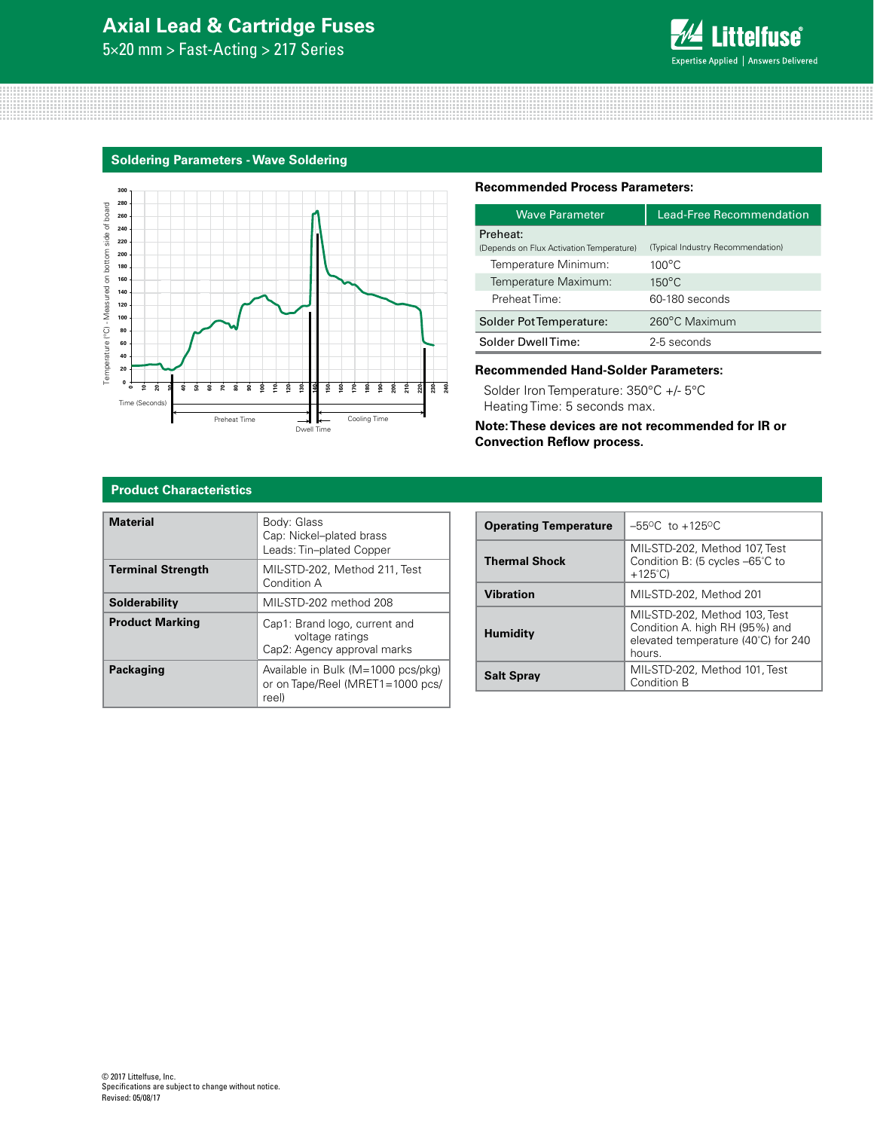# **Axial Lead & Cartridge Fuses**

5×20 mm > Fast-Acting > 217 Series



#### **Soldering Parameters - Wave Soldering**



#### **Recommended Process Parameters:**

| <b>Wave Parameter</b>                                | Lead-Free Recommendation          |
|------------------------------------------------------|-----------------------------------|
| Preheat:<br>(Depends on Flux Activation Temperature) | (Typical Industry Recommendation) |
| Temperature Minimum:                                 | $100^{\circ}$ C                   |
| Temperature Maximum:                                 | $150^{\circ}$ C                   |
| Preheat Time:                                        | 60-180 seconds                    |
| Solder Pot Temperature:                              | 260°C Maximum                     |
| Solder DwellTime:                                    | 2-5 seconds                       |

#### **Recommended Hand-Solder Parameters:**

Solder Iron Temperature: 350°C +/- 5°C Heating Time: 5 seconds max.

**Note: These devices are not recommended for IR or Convection Reflow process.**

#### **Product Characteristics**

| <b>Material</b>          | Body: Glass<br>Cap: Nickel-plated brass<br>Leads: Tin-plated Copper             |
|--------------------------|---------------------------------------------------------------------------------|
| <b>Terminal Strength</b> | MIL-STD-202, Method 211, Test<br>Condition A                                    |
| Solderability            | MIL-STD-202 method 208                                                          |
| <b>Product Marking</b>   | Cap1: Brand logo, current and<br>voltage ratings<br>Cap2: Agency approval marks |
| Packaging                | Available in Bulk (M=1000 pcs/pkg)<br>or on Tape/Reel (MRET1=1000 pcs/<br>reel) |

| <b>Operating Temperature</b> | $-55^{\circ}$ C to $+125^{\circ}$ C                                                                              |
|------------------------------|------------------------------------------------------------------------------------------------------------------|
| <b>Thermal Shock</b>         | MIL-STD-202, Method 107, Test<br>Condition B: (5 cycles -65°C to<br>$+125^{\circ}$ C)                            |
| <b>Vibration</b>             | MIL-STD-202, Method 201                                                                                          |
| <b>Humidity</b>              | MIL-STD-202, Method 103, Test<br>Condition A. high RH (95%) and<br>elevated temperature (40°C) for 240<br>hours. |
| <b>Salt Spray</b>            | MIL-STD-202. Method 101. Test<br>Condition B                                                                     |